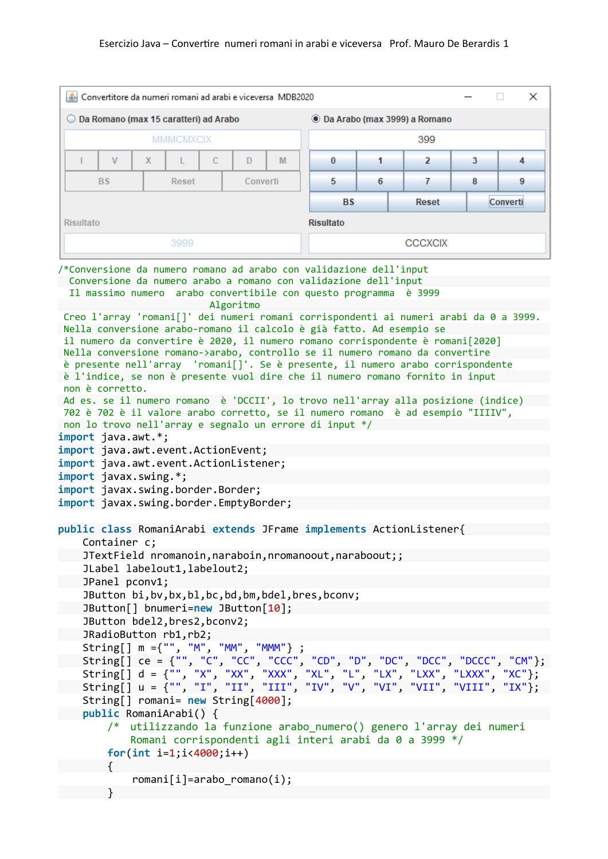```
\Box×
 Convertitore da numeri romani ad arabi e viceversa MDB2020
 O Da Romano (max 15 caratteri) ad Arabo
                                                C Da Arabo (max 3999) a Romano
                 MMMCMXCIX
                                                                     399
   \mathbf{I}\mathbf{V}\overline{\mathbf{x}}\mathsf{L}% _{0}\left( \mathsf{L}_{1}\right)\mathcal{C}\mathbf{D}M
                                                    \bf{0}1
                                                                      \overline{2}3
                                                                                        4
       BS
                     Reset
                                   Converti
                                                    5
                                                             6
                                                                      7
                                                                               8
                                                                                        q
                                                      BS
                                                                    Reset
                                                                                  Converti
 Risultato
                                                Risultato
                     3999
                                                                  CCCXCIX
/*Conversione da numero romano ad arabo con validazione dell'input
 Conversione da numero arabo a romano con validazione dell'input
  Il massimo numero arabo convertibile con questo programma è 3999
                             Algoritmo
 Creo l'array 'romani[]' dei numeri romani corrispondenti ai numeri arabi da 0 a 3999.
 Nella conversione arabo-romano il calcolo è già fatto. Ad esempio se
 il numero da convertire è 2020, il numero romano corrispondente è romani[2020]
 Nella conversione romano->arabo, controllo se il numero romano da convertire
 è presente nell'array 'romani[]'. Se è presente, il numero arabo corrispondente
 è l'indice, se non è presente vuol dire che il numero romano fornito in input
 non è corretto.
 Ad es. se il numero romano è 'DCCII', lo trovo nell'array alla posizione (indice)
 702 è 702 è il valore arabo corretto, se il numero romano è ad esempio "IIIIV",
 non lo trovo nell'array e segnalo un errore di input */
import java.awt.*;
import java.awt.event.ActionEvent;
import java.awt.event.ActionListener;
import javax.swing.*;
import javax.swing.border.Border;
import javax.swing.border.EmptyBorder;
public class RomaniArabi extends JFrame implements ActionListener{
    Container c;
    JTextField nromanoin,naraboin,nromanoout,naraboout;;
    JLabel labelout1,labelout2;
    JPanel pconv1;
    JButton bi,bv,bx,bl,bc,bd,bm,bdel,bres,bconv;
    JButton[] bnumeri=new JButton[10];
    JButton bdel2,bres2,bconv2;
    JRadioButton rb1,rb2;
    String[] m ={"", "M", "MM", "MMM"} ;
    String[] ce = {"", "C", "CC", "CCC", "CD", "D", "DC", "DCC", "DCCC", "CM"};
    String[] d = \{ "", "X", "XX", "XXX", "XL", "L", "LX", "LXX", "LXXX", "XC" \};<br>String[] u = \{ "", "I", "II", "III", "IV", "V", "VI", "VII", "VIII", "IX" \} ;String[] d = {"", "X", "XX", "XXX", "XL", "L", "LX", "LXX", "LXXX", "XC"};
    String[] romani= new String[4000];
    public RomaniArabi() {
         /* utilizzando la funzione arabo_numero() genero l'array dei numeri
             Romani corrispondenti agli interi arabi da 0 a 3999 */
         for(int i=1;i<4000;i++)
         {
              romani[i]=arabo_romano(i);
         }
```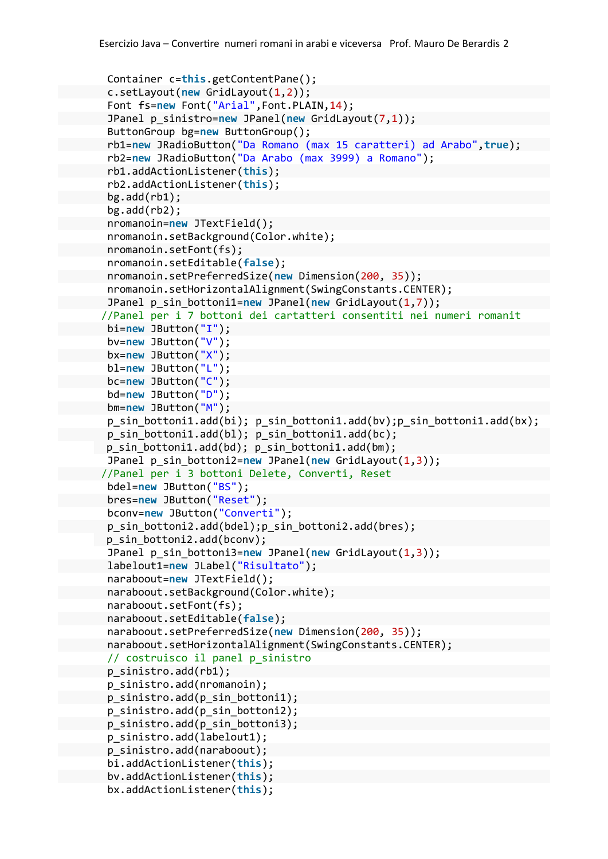```
Container c=this.getContentPane();
 c.setLayout(new GridLayout(1,2));
 Font fs=new Font("Arial",Font.PLAIN,14);
 JPanel p_sinistro=new JPanel(new GridLayout(7,1));
 ButtonGroup bg=new ButtonGroup();
 rb1=new JRadioButton("Da Romano (max 15 caratteri) ad Arabo",true);
 rb2=new JRadioButton("Da Arabo (max 3999) a Romano");
rb1.addActionListener(this);
rb2.addActionListener(this);
bg.add(rb1);bg.add(rb2);
nromanoin=new JTextField();
nromanoin.setBackground(Color.white);
nromanoin.setFont(fs);
nromanoin.setEditable(false);
nromanoin.setPreferredSize(new Dimension(200, 35));
nromanoin.setHorizontalAlignment(SwingConstants.CENTER);
 JPanel p_sin_bottoni1=new JPanel(new GridLayout(1,7));
//Panel per i 7 bottoni dei cartatteri consentiti nei numeri romanit
 bi=new JButton("I");
bv=new JButton("V");
bx=new JButton("X");
bl=new JButton("L");
bc=new JButton("C");
bd=new JButton("D");
bm=new JButton("M");
p_sin_bottoni1.add(bi); p_sin_bottoni1.add(bv);p_sin_bottoni1.add(bx);
p_sin_bottoni1.add(bl); p_sin_bottoni1.add(bc);
p_sin_bottoni1.add(bd); p_sin_bottoni1.add(bm);
 JPanel p_sin_bottoni2=new JPanel(new GridLayout(1,3));
//Panel per i 3 bottoni Delete, Converti, Reset
 bdel=new JButton("BS");
bres=new JButton("Reset");
bconv=new JButton("Converti");
p_sin_bottoni2.add(bdel);p_sin_bottoni2.add(bres);
p_sin_bottoni2.add(bconv);
JPanel p sin bottoni3=new JPanel(new GridLayout(1,3));
labelout1=new JLabel("Risultato");
 naraboout=new JTextField();
naraboout.setBackground(Color.white);
naraboout.setFont(fs);
naraboout.setEditable(false);
naraboout.setPreferredSize(new Dimension(200, 35));
naraboout.setHorizontalAlignment(SwingConstants.CENTER);
 // costruisco il panel p_sinistro
p_sinistro.add(rb1);
p_sinistro.add(nromanoin);
p_sinistro.add(p_sin_bottoni1);
p_sinistro.add(p_sin_bottoni2);
p_sinistro.add(p_sin_bottoni3);
p_sinistro.add(labelout1);
p_sinistro.add(naraboout);
bi.addActionListener(this);
bv.addActionListener(this);
 bx.addActionListener(this);
```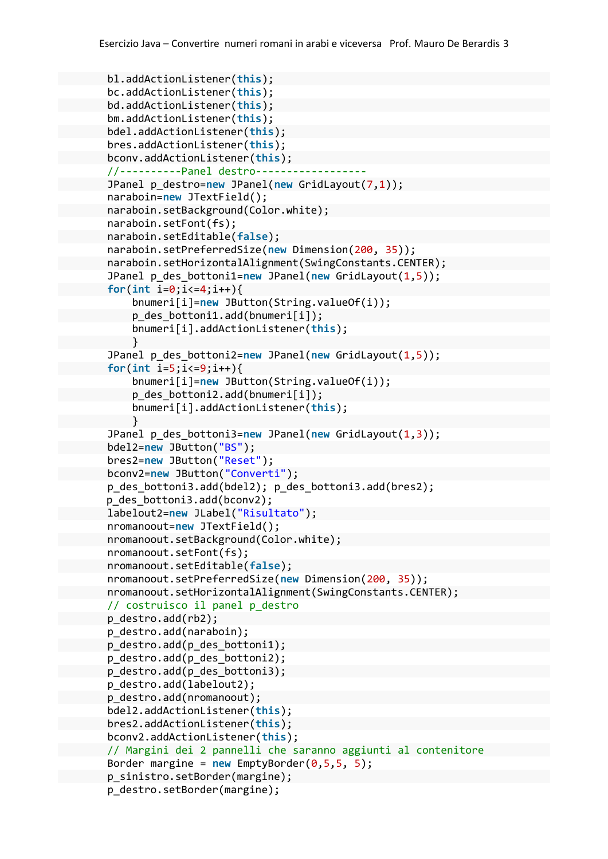```
bl.addActionListener(this);
bc.addActionListener(this);
bd.addActionListener(this);
bm.addActionListener(this);
bdel.addActionListener(this);
bres.addActionListener(this);
bconv.addActionListener(this);
//----------Panel destro------------------
JPanel p_destro=new JPanel(new GridLayout(7,1));
naraboin=new JTextField();
naraboin.setBackground(Color.white);
naraboin.setFont(fs);
naraboin.setEditable(false);
naraboin.setPreferredSize(new Dimension(200, 35));
naraboin.setHorizontalAlignment(SwingConstants.CENTER);
JPanel p_des_bottoni1=new JPanel(new GridLayout(1,5));
for(int i=0; i \le 4; i++){
    bnumeri[i]=new JButton(String.valueOf(i));
    p_des_bottoni1.add(bnumeri[i]);
    bnumeri[i].addActionListener(this);
    }
JPanel p_des_bottoni2=new JPanel(new GridLayout(1,5));
for(int i=5;i<=9;i++){
    bnumeri[i]=new JButton(String.valueOf(i));
    p des bottoni2.add(bnumeri[i]);
    bnumeri[i].addActionListener(this);
    }
JPanel p_des_bottoni3=new JPanel(new GridLayout(1,3));
bdel2=new JButton("BS");
bres2=new JButton("Reset");
bconv2=new JButton("Converti");
p des bottoni3.add(bdel2); p des bottoni3.add(bres2);
p_des_bottoni3.add(bconv2);
labelout2=new JLabel("Risultato");
nromanoout=new JTextField();
nromanoout.setBackground(Color.white);
nromanoout.setFont(fs);
nromanoout.setEditable(false);
nromanoout.setPreferredSize(new Dimension(200, 35));
nromanoout.setHorizontalAlignment(SwingConstants.CENTER);
// costruisco il panel p_destro
p_destro.add(rb2);
p_destro.add(naraboin);
p_destro.add(p_des_bottoni1);
p_destro.add(p_des_bottoni2);
p_destro.add(p_des_bottoni3);
p_destro.add(labelout2);
p_destro.add(nromanoout);
bdel2.addActionListener(this);
bres2.addActionListener(this);
bconv2.addActionListener(this);
// Margini dei 2 pannelli che saranno aggiunti al contenitore
Border margine = new EmptyBorder(0,5,5, 5);
p_sinistro.setBorder(margine);
p_destro.setBorder(margine);
```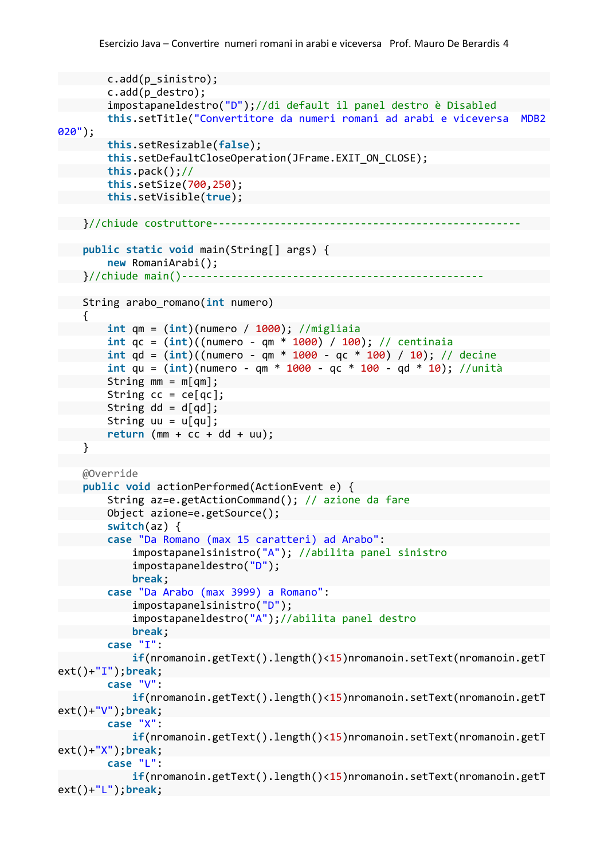```
c.add(p_sinistro);
        c.add(p_destro);
        impostapaneldestro("D");//di default il panel destro è Disabled
        this.setTitle("Convertitore da numeri romani ad arabi e viceversa MDB2
020");
       this.setResizable(false);
        this.setDefaultCloseOperation(JFrame.EXIT_ON_CLOSE);
        this.pack();//
        this.setSize(700,250);
        this.setVisible(true);
   \frac{1}{2}//chiude costruttore--------
   public static void main(String[] args) {
        new RomaniArabi();
    \}//chiude main()-----
   String arabo_romano(int numero)
    \mathcal{L}int qm = (int)(numero / 1000); //migliaia
        int qc = (int)((numero - qm * 1000) / 100); // centinaia
        int qd = (int)((numero - qm * 1000 - qc * 100) / 10); // decine
        int qu = (int)(numero - qm * 1000 - qc * 100 - qd * 10); //unità
        String mm = m[qm];String cc = ce[qc];
        String dd = d[qd];String uu = u[qu];return (mm + cc + dd + uu);}
    @Override
    public void actionPerformed(ActionEvent e) {
        String az=e.getActionCommand(); // azione da fare
        Object azione=e.getSource();
        switch(az) {
        case "Da Romano (max 15 caratteri) ad Arabo":
            impostapanelsinistro("A"); //abilita panel sinistro
            impostapaneldestro("D");
            break;
        case "Da Arabo (max 3999) a Romano":
            impostapanelsinistro("D");
            impostapaneldestro("A");//abilita panel destro
            break;
        case "I":
            if(nromanoin.getText().length()<15)nromanoin.setText(nromanoin.getT
ext()+"I");break;
        case "V":
            if(nromanoin.getText().length()<15)nromanoin.setText(nromanoin.getT
ext()+"V");break;
        case "X":
            if(nromanoin.getText().length()<15)nromanoin.setText(nromanoin.getT
ext()+"X");break;
        case "L":
            if(nromanoin.getText().length()<15)nromanoin.setText(nromanoin.getT
ext()+"L");break;
```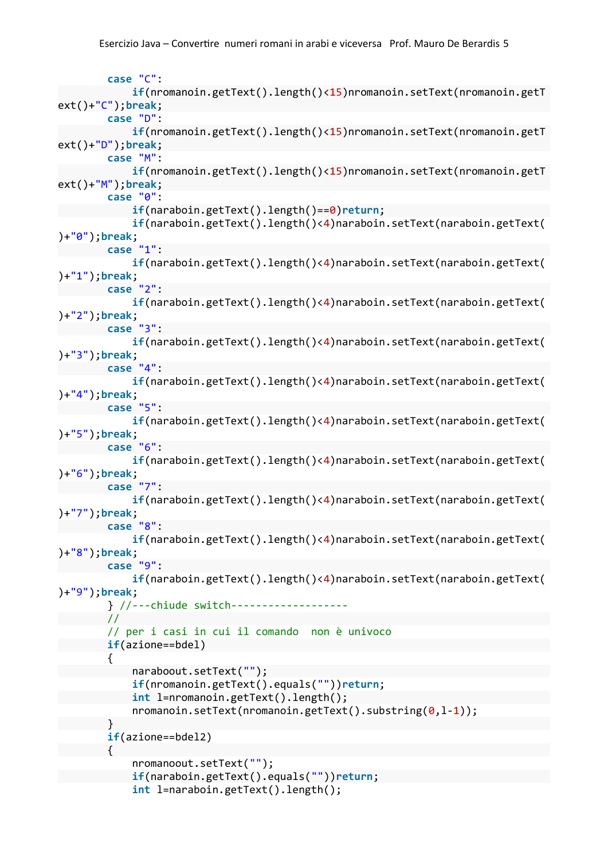```
case "C":
            if(nromanoin.getText().length()<15)nromanoin.setText(nromanoin.getT
ext()+"C");break;
        case "D":
            if(nromanoin.getText().length()<15)nromanoin.setText(nromanoin.getT
ext()+"D");break;
        case "M":
            if(nromanoin.getText().length()<15)nromanoin.setText(nromanoin.getT
ext()+"M");break;
        case "0":
            if(naraboin.getText().length()==0)return;
            if(naraboin.getText().length()<4)naraboin.setText(naraboin.getText(
)+"0");break;
        case "1":
            if(naraboin.getText().length()<4)naraboin.setText(naraboin.getText(
)+"1");break;
        case "2":
            if(naraboin.getText().length()<4)naraboin.setText(naraboin.getText(
)+"2");break;
       case "3":
            if(naraboin.getText().length()<4)naraboin.setText(naraboin.getText(
)+"3");break;
        case "4":
            if(naraboin.getText().length()<4)naraboin.setText(naraboin.getText(
)+"4");break;
        case "5":
            if(naraboin.getText().length()<4)naraboin.setText(naraboin.getText(
)+"5");break;
       case "6":
            if(naraboin.getText().length()<4)naraboin.setText(naraboin.getText(
)+"6");break;
        case "7":
            if(naraboin.getText().length()<4)naraboin.setText(naraboin.getText(
)+"7");break;
        case "8":
            if(naraboin.getText().length()<4)naraboin.setText(naraboin.getText(
)+"8");break;
        case "9":
            if(naraboin.getText().length()<4)naraboin.setText(naraboin.getText(
)+"9");break;
        } //---chiude switch-------------------
        //
        // per i casi in cui il comando non è univoco
        if(azione==bdel)
        {
            naraboout.setText("");
            if(nromanoin.getText().equals(""))return;
            int l=nromanoin.getText().length();
            nromanoin.setText(nromanoin.getText().substring(0,1-1));
        }
        if(azione==bdel2)
        {
            nromanoout.setText("");
            if(naraboin.getText().equals(""))return;
            int l=naraboin.getText().length();
```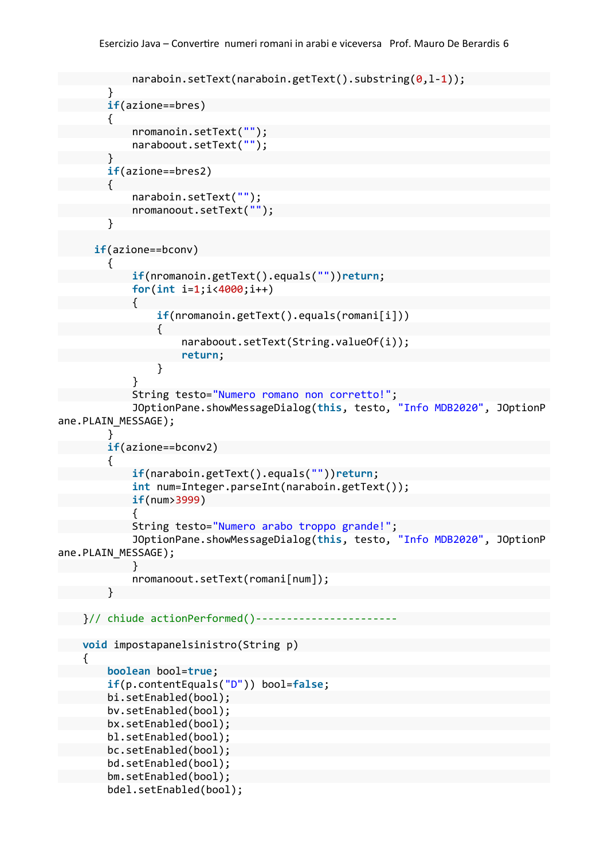```
naraboin.setText(naraboin.getText().substring(0,1-1));
        }
        if(azione==bres)
        {
            nromanoin.setText("");
            naraboout.setText("");
        }
        if(azione==bres2)
        {
            naraboin.setText("");
            nromanoout.setText("");
        }
      if(azione==bconv)
        {
            if(nromanoin.getText().equals(""))return;
            for(int i=1;i<4000;i++)
            {
                if(nromanoin.getText().equals(romani[i]))
                {
                    naraboout.setText(String.valueOf(i));
                    return;
                }
            }
            String testo="Numero romano non corretto!";
            JOptionPane.showMessageDialog(this, testo, "Info MDB2020", JOptionP
ane.PLAIN MESSAGE);
        }
        if(azione==bconv2)
        {
            if(naraboin.getText().equals(""))return;
            int num=Integer.parseInt(naraboin.getText());
            if(num>3999)
            {
            String testo="Numero arabo troppo grande!";
            JOptionPane.showMessageDialog(this, testo, "Info MDB2020", JOptionP
ane.PLAIN MESSAGE);
            }
            nromanoout.setText(romani[num]);
        }
}// chiude actionPerformed()-----------------------
    void impostapanelsinistro(String p)
    {
        boolean bool=true;
        if(p.contentEquals("D")) bool=false;
        bi.setEnabled(bool);
        bv.setEnabled(bool);
        bx.setEnabled(bool);
        bl.setEnabled(bool);
        bc.setEnabled(bool);
        bd.setEnabled(bool);
        bm.setEnabled(bool);
        bdel.setEnabled(bool);
```